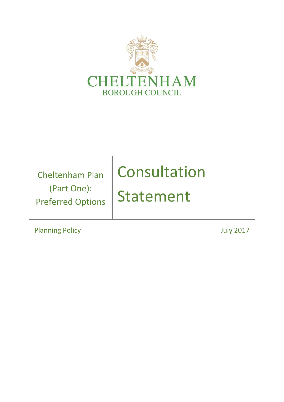

Cheltenham Plan (Part One): Preferred Options

# Consultation Statement

Planning Policy **Districts Planning Policy COLLEGE**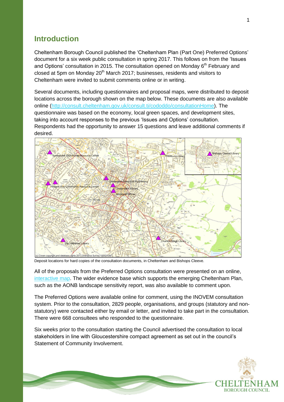## **Introduction**

Cheltenham Borough Council published the 'Cheltenham Plan (Part One) Preferred Options' document for a six week public consultation in spring 2017. This follows on from the 'Issues and Options' consultation in 2015. The consultation opened on Monday  $6<sup>th</sup>$  February and closed at 5pm on Monday  $20<sup>th</sup>$  March 2017; businesses, residents and visitors to Cheltenham were invited to submit comments online or in writing.

Several documents, including questionnaires and proposal maps, were distributed to deposit locations across the borough shown on the map below. These documents are also available online [\(http://consult.cheltenham.gov.uk/consult.ti/cododdo/consultationHome\)](http://consult.cheltenham.gov.uk/consult.ti/cododdo/consultationHome). The questionnaire was based on the economy, local green spaces, and development sites, taking into account responses to the previous 'Issues and Options' consultation. Respondents had the opportunity to answer 15 questions and leave additional comments if desired.



Deposit locations for hard copies of the consultation documents, in Cheltenham and Bishops Cleeve.

All of the proposals from the Preferred Options consultation were presented on an online, [interactive map.](http://maps.glosdistricts.org/map/Aurora.svc/run?script=%5cAurora%5cCBC+Cheltenham+Plan.AuroraScript%24&nocache=1648470889&resize=always) The wider evidence base which supports the emerging Cheltenham Plan, such as the AONB landscape sensitivity report, was also available to comment upon.

The Preferred Options were available online for comment, using the INOVEM consultation system. Prior to the consultation, 2829 people, organisations, and groups (statutory and nonstatutory) were contacted either by email or letter, and invited to take part in the consultation. There were 668 consultees who responded to the questionnaire.

Six weeks prior to the consultation starting the Council advertised the consultation to local stakeholders in line with Gloucestershire compact agreement as set out in the council's Statement of Community Involvement.

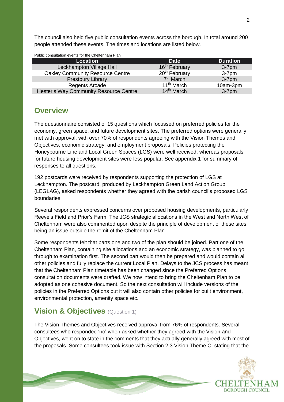The council also held five public consultation events across the borough. In total around 200 people attended these events. The times and locations are listed below.

| <b>Location</b>                         | <b>Date</b>               | <b>Duration</b> |
|-----------------------------------------|---------------------------|-----------------|
| Leckhampton Village Hall                | 16 <sup>th</sup> February | $3-7$ pm        |
| <b>Oakley Community Resource Centre</b> | 20 <sup>th</sup> February | $3-7pm$         |
| <b>Prestbury Library</b>                | $7th$ March               | $3-7pm$         |
| <b>Regents Arcade</b>                   | 11 <sup>th</sup> March    | 10am-3pm        |
| Hester's Way Community Resource Centre  | $14th$ March              | $3-7$ pm        |

## **Overview**

The questionnaire consisted of 15 questions which focussed on preferred policies for the economy, green space, and future development sites. The preferred options were generally met with approval, with over 70% of respondents agreeing with the Vision Themes and Objectives, economic strategy, and employment proposals. Policies protecting the Honeybourne Line and Local Green Spaces (LGS) were well received, whereas proposals for future housing development sites were less popular. See appendix 1 for summary of responses to all questions.

192 postcards were received by respondents supporting the protection of LGS at Leckhampton. The postcard, produced by Leckhampton Green Land Action Group (LEGLAG), asked respondents whether they agreed with the parish council's proposed LGS boundaries.

Several respondents expressed concerns over proposed housing developments, particularly Reeve's Field and Prior's Farm. The JCS strategic allocations in the West and North West of Cheltenham were also commented upon despite the principle of development of these sites being an issue outside the remit of the Cheltenham Plan.

Some respondents felt that parts one and two of the plan should be joined. Part one of the Cheltenham Plan, containing site allocations and an economic strategy, was planned to go through to examination first. The second part would then be prepared and would contain all other policies and fully replace the current Local Plan. Delays to the JCS process has meant that the Cheltenham Plan timetable has been changed since the Preferred Options consultation documents were drafted. We now intend to bring the Cheltenham Plan to be adopted as one cohesive document. So the next consultation will include versions of the policies in the Preferred Options but it will also contain other policies for built environment, environmental protection, amenity space etc.

# **Vision & Objectives** (Question 1)

The Vision Themes and Objectives received approval from 76% of respondents. Several consultees who responded 'no' when asked whether they agreed with the Vision and Objectives, went on to state in the comments that they actually generally agreed with most of the proposals. Some consultees took issue with Section 2.3 Vision Theme C, stating that the

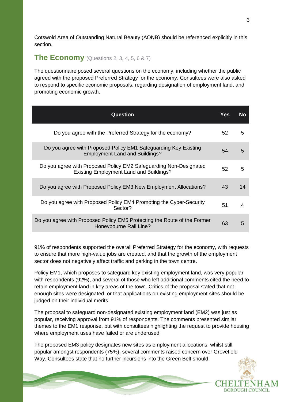Cotswold Area of Outstanding Natural Beauty (AONB) should be referenced explicitly in this section.

#### **The Economy** (Questions 2, 3, 4, 5, 6 & 7)

The questionnaire posed several questions on the economy, including whether the public agreed with the proposed Preferred Strategy for the economy. Consultees were also asked to respond to specific economic proposals, regarding designation of employment land, and promoting economic growth.

| <b>Question</b>                                                                                                     | Yes | No |
|---------------------------------------------------------------------------------------------------------------------|-----|----|
| Do you agree with the Preferred Strategy for the economy?                                                           | 52  | 5  |
| Do you agree with Proposed Policy EM1 Safeguarding Key Existing<br><b>Employment Land and Buildings?</b>            | 54  | 5  |
| Do you agree with Proposed Policy EM2 Safeguarding Non-Designated<br><b>Existing Employment Land and Buildings?</b> | 52  | 5  |
| Do you agree with Proposed Policy EM3 New Employment Allocations?                                                   | 43  | 14 |
| Do you agree with Proposed Policy EM4 Promoting the Cyber-Security<br>Sector?                                       | 51  | 4  |
| Do you agree with Proposed Policy EM5 Protecting the Route of the Former<br>Honeybourne Rail Line?                  | 63  | 5  |

91% of respondents supported the overall Preferred Strategy for the economy, with requests to ensure that more high-value jobs are created, and that the growth of the employment sector does not negatively affect traffic and parking in the town centre.

Policy EM1, which proposes to safeguard key existing employment land, was very popular with respondents (92%), and several of those who left additional comments cited the need to retain employment land in key areas of the town. Critics of the proposal stated that not enough sites were designated, or that applications on existing employment sites should be judged on their individual merits.

The proposal to safeguard non-designated existing employment land (EM2) was just as popular, receiving approval from 91% of respondents. The comments presented similar themes to the EM1 response, but with consultees highlighting the request to provide housing where employment uses have failed or are underused.

The proposed EM3 policy designates new sites as employment allocations, whilst still popular amongst respondents (75%), several comments raised concern over Grovefield Way. Consultees state that no further incursions into the Green Belt should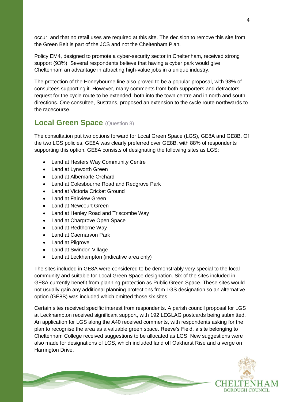occur, and that no retail uses are required at this site. The decision to remove this site from the Green Belt is part of the JCS and not the Cheltenham Plan.

Policy EM4, designed to promote a cyber-security sector in Cheltenham, received strong support (93%). Several respondents believe that having a cyber park would give Cheltenham an advantage in attracting high-value jobs in a unique industry.

The protection of the Honeybourne line also proved to be a popular proposal, with 93% of consultees supporting it. However, many comments from both supporters and detractors request for the cycle route to be extended, both into the town centre and in north and south directions. One consultee, Sustrans, proposed an extension to the cycle route northwards to the racecourse.

## **Local Green Space** (Question 8)

The consultation put two options forward for Local Green Space (LGS), GE8A and GE8B. Of the two LGS policies, GE8A was clearly preferred over GE8B, with 88% of respondents supporting this option. GE8A consists of designating the following sites as LGS:

- Land at Hesters Way Community Centre
- Land at Lynworth Green
- Land at Albemarle Orchard
- Land at Colesbourne Road and Redgrove Park
- Land at Victoria Cricket Ground
- Land at Fairview Green
- Land at Newcourt Green
- Land at Henley Road and Triscombe Way
- Land at Chargrove Open Space
- Land at Redthorne Way
- Land at Caernarvon Park
- Land at Pilgrove
- Land at Swindon Village
- Land at Leckhampton (indicative area only)

The sites included in GE8A were considered to be demonstrably very special to the local community and suitable for Local Green Space designation. Six of the sites included in GE8A currently benefit from planning protection as Public Green Space. These sites would not usually gain any additional planning protections from LGS designation so an alternative option (GE8B) was included which omitted those six sites

Certain sites received specific interest from respondents. A parish council proposal for LGS at Leckhampton received significant support, with 192 LEGLAG postcards being submitted. An application for LGS along the A40 received comments, with respondents asking for the plan to recognise the area as a valuable green space. Reeve's Field, a site belonging to Cheltenham College received suggestions to be allocated as LGS. New suggestions were also made for designations of LGS, which included land off Oakhurst Rise and a verge on Harrington Drive.

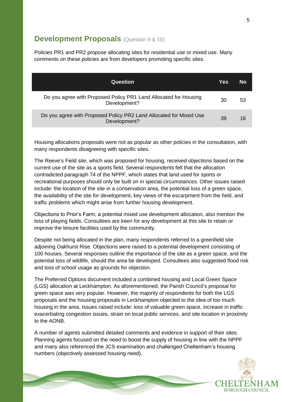#### **Development Proposals** (Question 9 & 10)

Policies PR1 and PR2 propose allocating sites for residential use or mixed use. Many comments on these policies are from developers promoting specific sites.

| <b>Question</b>                                                                    | Yes | No |
|------------------------------------------------------------------------------------|-----|----|
| Do you agree with Proposed Policy PR1 Land Allocated for Housing<br>Development?   | 30  | 53 |
| Do you agree with Proposed Policy PR2 Land Allocated for Mixed Use<br>Development? | 39  | 16 |

Housing allocations proposals were not as popular as other policies in the consultation, with many respondents disagreeing with specific sites.

The Reeve's Field site, which was proposed for housing, received objections based on the current use of the site as a sports field. Several respondents felt that the allocation contradicted paragraph 74 of the NPPF, which states that land used for sports or recreational purposes should only be built on in special circumstances. Other issues raised include: the location of the site in a conservation area, the potential loss of a green space, the availability of the site for development, key views of the escarpment from the field, and traffic problems which might arise from further housing development.

Objections to Prior's Farm, a potential mixed use development allocation, also mention the loss of playing fields. Consultees are keen for any development at this site to retain or improve the leisure facilities used by the community.

Despite not being allocated in the plan, many respondents referred to a greenfield site adjoining Oakhurst Rise. Objections were raised to a potential development consisting of 100 houses. Several responses outline the importance of the site as a green space, and the potential loss of wildlife, should the area be developed. Consultees also suggested flood risk and loss of school usage as grounds for objection.

The Preferred Options document included a combined housing and Local Green Space (LGS) allocation at Leckhampton. As aforementioned, the Parish Council's proposal for green space was very popular. However, the majority of respondents for both the LGS proposals and the housing proposals in Leckhampton objected to the idea of too much housing in the area. Issues raised include: loss of valuable green space, increase in traffic exacerbating congestion issues, strain on local public services, and site location in proximity to the AONB.

A number of agents submitted detailed comments and evidence in support of their sites. Planning agents focused on the need to boost the supply of housing in line with the NPPF and many also referenced the JCS examination and challenged Cheltenham's housing numbers (objectively assessed housing need).

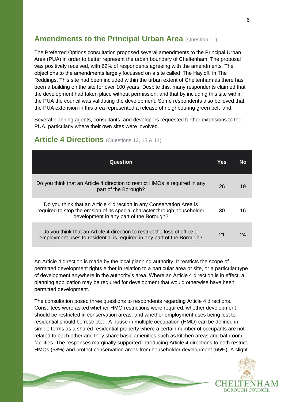## **Amendments to the Principal Urban Area** (Question 11)

The Preferred Options consultation proposed several amendments to the Principal Urban Area (PUA) in order to better represent the urban boundary of Cheltenham. The proposal was positively received, with 62% of respondents agreeing with the amendments. The objections to the amendments largely focussed on a site called 'The Hayloft' in The Reddings. This site had been included within the urban extent of Cheltenham as there has been a building on the site for over 100 years. Despite this, many respondents claimed that the development had taken place without permission, and that by including this site within the PUA the council was validating the development. Some respondents also believed that the PUA extension in this area represented a release of neighbouring green belt land.

Several planning agents, consultants, and developers requested further extensions to the PUA, particularly where their own sites were involved.

| Question                                                                                                                                                                                     | Yes | Nο |
|----------------------------------------------------------------------------------------------------------------------------------------------------------------------------------------------|-----|----|
| Do you think that an Article 4 direction to restrict HMOs is required in any<br>part of the Borough?                                                                                         | 26  | 19 |
| Do you think that an Article 4 direction in any Conservation Area is<br>required to stop the erosion of its special character through householder<br>development in any part of the Borough? | 30  | 16 |
| Do you think that an Article 4 direction to restrict the loss of office or<br>employment uses to residential is required in any part of the Borough?                                         | 21  | 24 |

#### **Article 4 Directions** (Questions 12, <sup>13</sup> & 14)

An Article 4 direction is made by the local planning authority. It restricts the scope of permitted development rights either in relation to a particular area or site, or a particular type of development anywhere in the authority's area. Where an Article 4 direction is in effect, a planning application may be required for development that would otherwise have been permitted development.

The consultation posed three questions to respondents regarding Article 4 directions. Consultees were asked whether HMO restrictions were required, whether development should be restricted in conservation areas, and whether employment uses being lost to residential should be restricted. A house in multiple occupation (HMO) can be defined in simple terms as a shared residential property where a certain number of occupants are not related to each other and they share basic amenities such as kitchen areas and bathroom facilities. The responses marginally supported introducing Article 4 directions to both restrict HMOs (58%) and protect conservation areas from householder development (65%). A slight